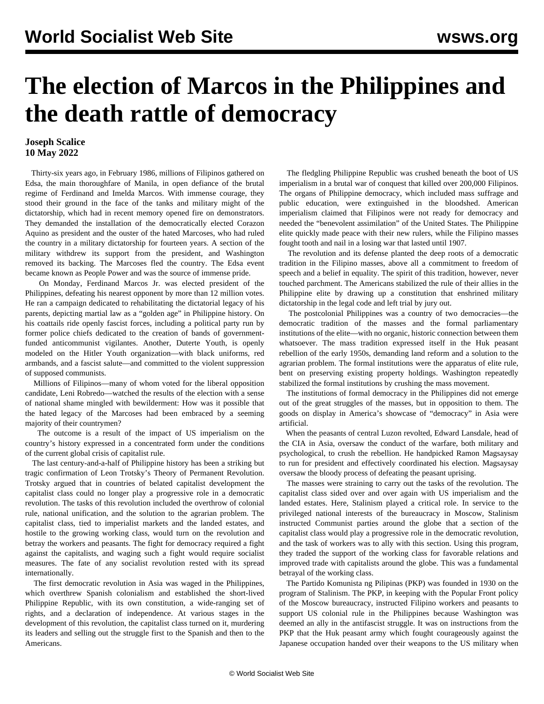## **The election of Marcos in the Philippines and the death rattle of democracy**

## **Joseph Scalice 10 May 2022**

 Thirty-six years ago, in February 1986, millions of Filipinos gathered on Edsa, the main thoroughfare of Manila, in open defiance of the brutal regime of Ferdinand and Imelda Marcos. With immense courage, they stood their ground in the face of the tanks and military might of the dictatorship, which had in recent memory opened fire on demonstrators. They demanded the installation of the democratically elected Corazon Aquino as president and the ouster of the hated Marcoses, who had ruled the country in a military dictatorship for fourteen years. A section of the military withdrew its support from the president, and Washington removed its backing. The Marcoses fled the country. The Edsa event became known as People Power and was the source of immense pride.

 On Monday, Ferdinand Marcos Jr. was elected president of the Philippines, defeating his nearest opponent by more than 12 million votes. He ran a campaign dedicated to rehabilitating the dictatorial legacy of his parents, depicting martial law as a "golden age" in Philippine history. On his coattails ride openly fascist forces, including a political party run by former police chiefs dedicated to the creation of bands of governmentfunded anticommunist vigilantes. Another, Duterte Youth, is openly modeled on the Hitler Youth organization—with black uniforms, red armbands, and a fascist salute—and committed to the violent suppression of supposed communists.

 Millions of Filipinos—many of whom voted for the liberal opposition candidate, Leni Robredo—watched the results of the election with a sense of national shame mingled with bewilderment: How was it possible that the hated legacy of the Marcoses had been embraced by a seeming majority of their countrymen?

 The outcome is a result of the impact of US imperialism on the country's history expressed in a concentrated form under the conditions of the current global crisis of capitalist rule.

 The last century-and-a-half of Philippine history has been a striking but tragic confirmation of Leon Trotsky's Theory of Permanent Revolution. Trotsky argued that in countries of belated capitalist development the capitalist class could no longer play a progressive role in a democratic revolution. The tasks of this revolution included the overthrow of colonial rule, national unification, and the solution to the agrarian problem. The capitalist class, tied to imperialist markets and the landed estates, and hostile to the growing working class, would turn on the revolution and betray the workers and peasants. The fight for democracy required a fight against the capitalists, and waging such a fight would require socialist measures. The fate of any socialist revolution rested with its spread internationally.

 The first democratic revolution in Asia was waged in the Philippines, which overthrew Spanish colonialism and established the short-lived Philippine Republic, with its own constitution, a wide-ranging set of rights, and a declaration of independence. At various stages in the development of this revolution, the capitalist class turned on it, murdering its leaders and selling out the struggle first to the Spanish and then to the Americans.

 The fledgling Philippine Republic was crushed beneath the boot of US imperialism in a brutal war of conquest that killed over 200,000 Filipinos. The organs of Philippine democracy, which included mass suffrage and public education, were extinguished in the bloodshed. American imperialism claimed that Filipinos were not ready for democracy and needed the "benevolent assimilation" of the United States. The Philippine elite quickly made peace with their new rulers, while the Filipino masses fought tooth and nail in a losing war that lasted until 1907.

 The revolution and its defense planted the deep roots of a democratic tradition in the Filipino masses, above all a commitment to freedom of speech and a belief in equality. The spirit of this tradition, however, never touched parchment. The Americans stabilized the rule of their allies in the Philippine elite by drawing up a constitution that enshrined military dictatorship in the legal code and left trial by jury out.

 The postcolonial Philippines was a country of two democracies—the democratic tradition of the masses and the formal parliamentary institutions of the elite—with no organic, historic connection between them whatsoever. The mass tradition expressed itself in the Huk peasant rebellion of the early 1950s, demanding land reform and a solution to the agrarian problem. The formal institutions were the apparatus of elite rule, bent on preserving existing property holdings. Washington repeatedly stabilized the formal institutions by crushing the mass movement.

 The institutions of formal democracy in the Philippines did not emerge out of the great struggles of the masses, but in opposition to them. The goods on display in America's showcase of "democracy" in Asia were artificial.

 When the peasants of central Luzon revolted, Edward Lansdale, head of the CIA in Asia, oversaw the conduct of the warfare, both military and psychological, to crush the rebellion. He handpicked Ramon Magsaysay to run for president and effectively coordinated his election. Magsaysay oversaw the bloody process of defeating the peasant uprising.

 The masses were straining to carry out the tasks of the revolution. The capitalist class sided over and over again with US imperialism and the landed estates. Here, Stalinism played a critical role. In service to the privileged national interests of the bureaucracy in Moscow, Stalinism instructed Communist parties around the globe that a section of the capitalist class would play a progressive role in the democratic revolution, and the task of workers was to ally with this section. Using this program, they traded the support of the working class for favorable relations and improved trade with capitalists around the globe. This was a fundamental betrayal of the working class.

 The Partido Komunista ng Pilipinas (PKP) was founded in 1930 on the program of Stalinism. The PKP, in keeping with the Popular Front policy of the Moscow bureaucracy, instructed Filipino workers and peasants to support US colonial rule in the Philippines because Washington was deemed an ally in the antifascist struggle. It was on instructions from the PKP that the Huk peasant army which fought courageously against the Japanese occupation handed over their weapons to the US military when